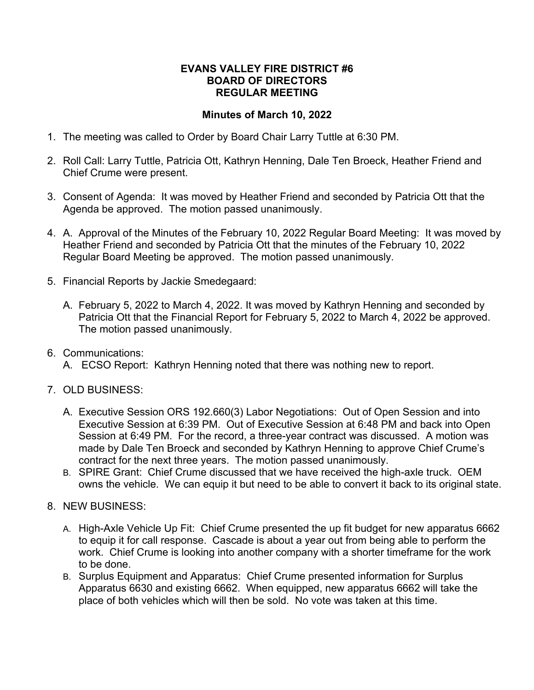## **EVANS VALLEY FIRE DISTRICT #6 BOARD OF DIRECTORS REGULAR MEETING**

## **Minutes of March 10, 2022**

- 1. The meeting was called to Order by Board Chair Larry Tuttle at 6:30 PM.
- 2. Roll Call: Larry Tuttle, Patricia Ott, Kathryn Henning, Dale Ten Broeck, Heather Friend and Chief Crume were present.
- 3. Consent of Agenda: It was moved by Heather Friend and seconded by Patricia Ott that the Agenda be approved. The motion passed unanimously.
- 4. A. Approval of the Minutes of the February 10, 2022 Regular Board Meeting: It was moved by Heather Friend and seconded by Patricia Ott that the minutes of the February 10, 2022 Regular Board Meeting be approved. The motion passed unanimously.
- 5. Financial Reports by Jackie Smedegaard:
	- A. February 5, 2022 to March 4, 2022. It was moved by Kathryn Henning and seconded by Patricia Ott that the Financial Report for February 5, 2022 to March 4, 2022 be approved. The motion passed unanimously.
- 6. Communications:
	- A. ECSO Report: Kathryn Henning noted that there was nothing new to report.
- 7. OLD BUSINESS:
	- A. Executive Session ORS 192.660(3) Labor Negotiations: Out of Open Session and into Executive Session at 6:39 PM. Out of Executive Session at 6:48 PM and back into Open Session at 6:49 PM. For the record, a three-year contract was discussed. A motion was made by Dale Ten Broeck and seconded by Kathryn Henning to approve Chief Crume's contract for the next three years. The motion passed unanimously.
	- B. SPIRE Grant: Chief Crume discussed that we have received the high-axle truck. OEM owns the vehicle. We can equip it but need to be able to convert it back to its original state.
- 8. NEW BUSINESS:
	- A. High-Axle Vehicle Up Fit: Chief Crume presented the up fit budget for new apparatus 6662 to equip it for call response. Cascade is about a year out from being able to perform the work. Chief Crume is looking into another company with a shorter timeframe for the work to be done.
	- B. Surplus Equipment and Apparatus: Chief Crume presented information for Surplus Apparatus 6630 and existing 6662. When equipped, new apparatus 6662 will take the place of both vehicles which will then be sold. No vote was taken at this time.